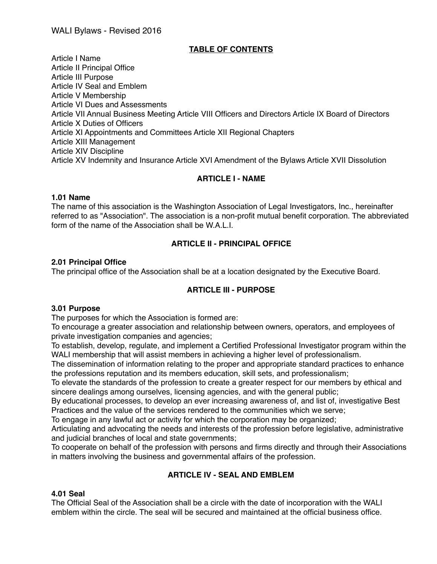## WALI Bylaws - Revised 2016

## **TABLE OF CONTENTS**

Article I Name Article II Principal Office Article III Purpose Article IV Seal and Emblem Article V Membership Article VI Dues and Assessments Article VII Annual Business Meeting Article VIII Officers and Directors Article IX Board of Directors Article X Duties of Officers Article XI Appointments and Committees Article XII Regional Chapters Article XIII Management Article XIV Discipline Article XV Indemnity and Insurance Article XVI Amendment of the Bylaws Article XVII Dissolution

## **ARTICLE I - NAME**

#### **1.01 Name**

The name of this association is the Washington Association of Legal Investigators, Inc., hereinafter referred to as "Association". The association is a non-profit mutual benefit corporation. The abbreviated form of the name of the Association shall be W.A.L.I.

## **ARTICLE II - PRINCIPAL OFFICE**

#### **2.01 Principal Office**

The principal office of the Association shall be at a location designated by the Executive Board.

## **ARTICLE III - PURPOSE**

#### **3.01 Purpose**

The purposes for which the Association is formed are:

To encourage a greater association and relationship between owners, operators, and employees of private investigation companies and agencies;

To establish, develop, regulate, and implement a Certified Professional Investigator program within the WALI membership that will assist members in achieving a higher level of professionalism.

The dissemination of information relating to the proper and appropriate standard practices to enhance the professions reputation and its members education, skill sets, and professionalism;

To elevate the standards of the profession to create a greater respect for our members by ethical and sincere dealings among ourselves, licensing agencies, and with the general public;

By educational processes, to develop an ever increasing awareness of, and list of, investigative Best Practices and the value of the services rendered to the communities which we serve;

To engage in any lawful act or activity for which the corporation may be organized;

Articulating and advocating the needs and interests of the profession before legislative, administrative and judicial branches of local and state governments;

To cooperate on behalf of the profession with persons and firms directly and through their Associations in matters involving the business and governmental affairs of the profession.

## **ARTICLE IV - SEAL AND EMBLEM**

#### **4.01 Seal**

The Official Seal of the Association shall be a circle with the date of incorporation with the WALI emblem within the circle. The seal will be secured and maintained at the official business office.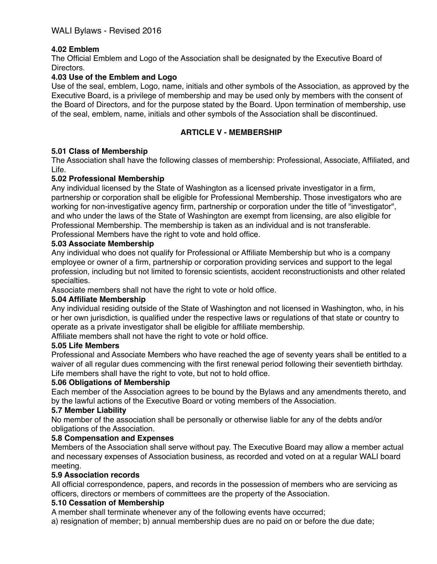# **4.02 Emblem**

The Official Emblem and Logo of the Association shall be designated by the Executive Board of Directors.

## **4.03 Use of the Emblem and Logo**

Use of the seal, emblem, Logo, name, initials and other symbols of the Association, as approved by the Executive Board, is a privilege of membership and may be used only by members with the consent of the Board of Directors, and for the purpose stated by the Board. Upon termination of membership, use of the seal, emblem, name, initials and other symbols of the Association shall be discontinued.

## **ARTICLE V - MEMBERSHIP**

## **5.01 Class of Membership**

The Association shall have the following classes of membership: Professional, Associate, Affiliated, and Life.

## **5.02 Professional Membership**

Any individual licensed by the State of Washington as a licensed private investigator in a firm, partnership or corporation shall be eligible for Professional Membership. Those investigators who are working for non-investigative agency firm, partnership or corporation under the title of "investigator", and who under the laws of the State of Washington are exempt from licensing, are also eligible for Professional Membership. The membership is taken as an individual and is not transferable. Professional Members have the right to vote and hold office.

#### **5.03 Associate Membership**

Any individual who does not qualify for Professional or Affiliate Membership but who is a company employee or owner of a firm, partnership or corporation providing services and support to the legal profession, including but not limited to forensic scientists, accident reconstructionists and other related specialties.

Associate members shall not have the right to vote or hold office.

#### **5.04 Affiliate Membership**

Any individual residing outside of the State of Washington and not licensed in Washington, who, in his or her own jurisdiction, is qualified under the respective laws or regulations of that state or country to operate as a private investigator shall be eligible for affiliate membership.

Affiliate members shall not have the right to vote or hold office.

#### **5.05 Life Members**

Professional and Associate Members who have reached the age of seventy years shall be entitled to a waiver of all regular dues commencing with the first renewal period following their seventieth birthday. Life members shall have the right to vote, but not to hold office.

#### **5.06 Obligations of Membership**

Each member of the Association agrees to be bound by the Bylaws and any amendments thereto, and by the lawful actions of the Executive Board or voting members of the Association.

#### **5.7 Member Liability**

No member of the association shall be personally or otherwise liable for any of the debts and/or obligations of the Association.

#### **5.8 Compensation and Expenses**

Members of the Association shall serve without pay. The Executive Board may allow a member actual and necessary expenses of Association business, as recorded and voted on at a regular WALI board meeting.

#### **5.9 Association records**

All official correspondence, papers, and records in the possession of members who are servicing as officers, directors or members of committees are the property of the Association.

#### **5.10 Cessation of Membership**

A member shall terminate whenever any of the following events have occurred;

a) resignation of member; b) annual membership dues are no paid on or before the due date;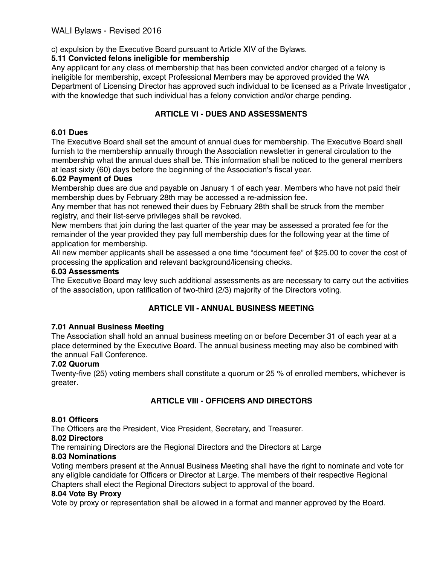c) expulsion by the Executive Board pursuant to Article XIV of the Bylaws.

## **5.11 Convicted felons ineligible for membership**

Any applicant for any class of membership that has been convicted and/or charged of a felony is ineligible for membership, except Professional Members may be approved provided the WA Department of Licensing Director has approved such individual to be licensed as a Private Investigator , with the knowledge that such individual has a felony conviction and/or charge pending.

# **ARTICLE VI - DUES AND ASSESSMENTS**

## **6.01 Dues**

The Executive Board shall set the amount of annual dues for membership. The Executive Board shall furnish to the membership annually through the Association newsletter in general circulation to the membership what the annual dues shall be. This information shall be noticed to the general members at least sixty (60) days before the beginning of the Association's fiscal year.

## **6.02 Payment of Dues**

Membership dues are due and payable on January 1 of each year. Members who have not paid their membership dues by February 28th may be accessed a re-admission fee.

Any member that has not renewed their dues by February 28th shall be struck from the member registry, and their list-serve privileges shall be revoked.

New members that join during the last quarter of the year may be assessed a prorated fee for the remainder of the year provided they pay full membership dues for the following year at the time of application for membership.

All new member applicants shall be assessed a one time "document fee" of \$25.00 to cover the cost of processing the application and relevant background/licensing checks.

## **6.03 Assessments**

The Executive Board may levy such additional assessments as are necessary to carry out the activities of the association, upon ratification of two-third (2/3) majority of the Directors voting.

## **ARTICLE VII - ANNUAL BUSINESS MEETING**

## **7.01 Annual Business Meeting**

The Association shall hold an annual business meeting on or before December 31 of each year at a place determined by the Executive Board. The annual business meeting may also be combined with the annual Fall Conference.

#### **7.02 Quorum**

Twenty-five (25) voting members shall constitute a quorum or 25 % of enrolled members, whichever is greater*.*

# **ARTICLE VIII - OFFICERS AND DIRECTORS**

## **8.01 Officers**

The Officers are the President, Vice President, Secretary, and Treasurer.

#### **8.02 Directors**

The remaining Directors are the Regional Directors and the Directors at Large

## **8.03 Nominations**

Voting members present at the Annual Business Meeting shall have the right to nominate and vote for any eligible candidate for Officers or Director at Large. The members of their respective Regional Chapters shall elect the Regional Directors subject to approval of the board.

#### **8.04 Vote By Proxy**

Vote by proxy or representation shall be allowed in a format and manner approved by the Board.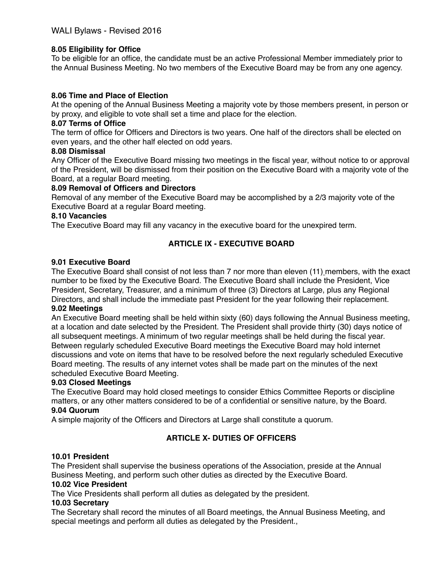## **8.05 Eligibility for Office**

To be eligible for an office, the candidate must be an active Professional Member immediately prior to the Annual Business Meeting. No two members of the Executive Board may be from any one agency.

## **8.06 Time and Place of Election**

At the opening of the Annual Business Meeting a majority vote by those members present, in person or by proxy, and eligible to vote shall set a time and place for the election.

### **8.07 Terms of Office**

The term of office for Officers and Directors is two years. One half of the directors shall be elected on even years, and the other half elected on odd years.

#### **8.08 Dismissal**

Any Officer of the Executive Board missing two meetings in the fiscal year, without notice to or approval of the President, will be dismissed from their position on the Executive Board with a majority vote of the Board, at a regular Board meeting.

## **8.09 Removal of Officers and Directors**

Removal of any member of the Executive Board may be accomplished by a 2/3 majority vote of the Executive Board at a regular Board meeting.

#### **8.10 Vacancies**

The Executive Board may fill any vacancy in the executive board for the unexpired term.

# **ARTICLE IX - EXECUTIVE BOARD**

### **9.01 Executive Board**

The Executive Board shall consist of not less than 7 nor more than eleven (11) members, with the exact number to be fixed by the Executive Board. The Executive Board shall include the President, Vice President, Secretary, Treasurer, and a minimum of three (3) Directors at Large, plus any Regional Directors, and shall include the immediate past President for the year following their replacement.

### **9.02 Meetings**

An Executive Board meeting shall be held within sixty (60) days following the Annual Business meeting, at a location and date selected by the President. The President shall provide thirty (30) days notice of all subsequent meetings. A minimum of two regular meetings shall be held during the fiscal year. Between regularly scheduled Executive Board meetings the Executive Board may hold internet discussions and vote on items that have to be resolved before the next regularly scheduled Executive Board meeting. The results of any internet votes shall be made part on the minutes of the next scheduled Executive Board Meeting.

#### **9.03 Closed Meetings**

The Executive Board may hold closed meetings to consider Ethics Committee Reports or discipline matters, or any other matters considered to be of a confidential or sensitive nature, by the Board. **9.04 Quorum**

A simple majority of the Officers and Directors at Large shall constitute a quorum.

## **ARTICLE X- DUTIES OF OFFICERS**

#### **10.01 President**

The President shall supervise the business operations of the Association, preside at the Annual Business Meeting, and perform such other duties as directed by the Executive Board.

#### **10.02 Vice President**

The Vice Presidents shall perform all duties as delegated by the president.

#### **10.03 Secretary**

The Secretary shall record the minutes of all Board meetings, the Annual Business Meeting, and special meetings and perform all duties as delegated by the President.,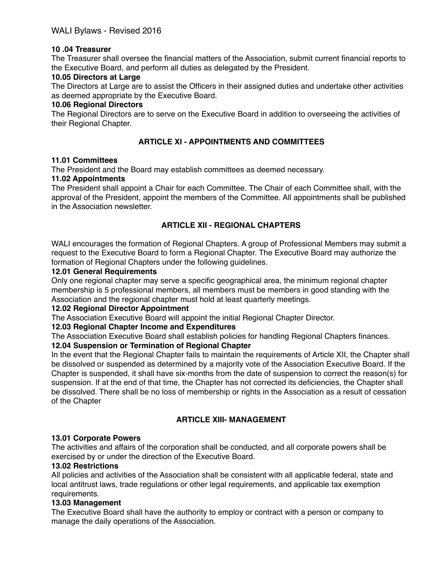## **10 .04 Treasurer**

The Treasurer shall oversee the financial matters of the Association, submit current financial reports to the Executive Board, and perform all duties as delegated by the President.

### **10.05 Directors at Large**

The Directors at Large are to assist the Officers in their assigned duties and undertake other activities as deemed appropriate by the Executive Board.

### **10.06 Regional Directors**

The Regional Directors are to serve on the Executive Board in addition to overseeing the activities of their Regional Chapter.

## **ARTICLE XI - APPOINTMENTS AND COMMITTEES**

#### **11.01 Committees**

The President and the Board may establish committees as deemed necessary.

#### **11.02 Appointments**

The President shall appoint a Chair for each Committee. The Chair of each Committee shall, with the approval of the President, appoint the members of the Committee. All appointments shall be published in the Association newsletter.

# **ARTICLE XII - REGIONAL CHAPTERS**

WALI encourages the formation of Regional Chapters. A group of Professional Members may submit a request to the Executive Board to form a Regional Chapter. The Executive Board may authorize the formation of Regional Chapters under the following guidelines.

#### **12.01 General Requirements**

Only one regional chapter may serve a specific geographical area, the minimum regional chapter membership is 5 professional members, all members must be members in good standing with the Association and the regional chapter must hold at least quarterly meetings.

#### **12.02 Regional Director Appointment**

The Association Executive Board will appoint the initial Regional Chapter Director.

#### **12.03 Regional Chapter Income and Expenditures**

The Association Executive Board shall establish policies for handling Regional Chapters finances.

#### **12.04 Suspension or Termination of Regional Chapter**

In the event that the Regional Chapter fails to maintain the requirements of Article XII, the Chapter shall be dissolved or suspended as determined by a majority vote of the Association Executive Board. If the Chapter is suspended, it shall have six-months from the date of suspension to correct the reason(s) for suspension. If at the end of that time, the Chapter has not corrected its deficiencies, the Chapter shall be dissolved. There shall be no loss of membership or rights in the Association as a result of cessation of the Chapter

## **ARTICLE XIII- MANAGEMENT**

## **13.01 Corporate Powers**

The activities and affairs of the corporation shall be conducted, and all corporate powers shall be exercised by or under the direction of the Executive Board.

#### **13.02 Restrictions**

All policies and activities of the Association shall be consistent with all applicable federal, state and local antitrust laws, trade regulations or other legal requirements, and applicable tax exemption requirements.

#### **13.03 Management**

The Executive Board shall have the authority to employ or contract with a person or company to manage the daily operations of the Association.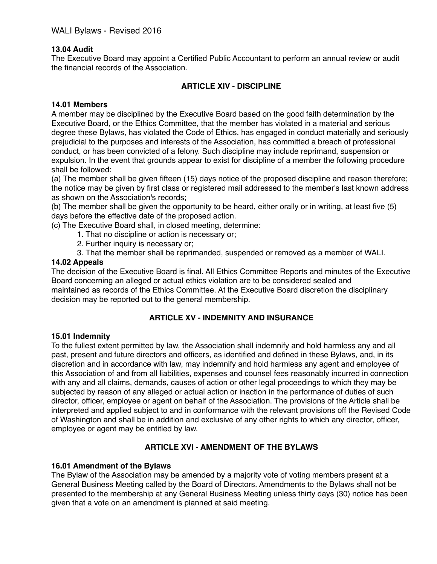## **13.04 Audit**

The Executive Board may appoint a Certified Public Accountant to perform an annual review or audit the financial records of the Association.

## **ARTICLE XIV - DISCIPLINE**

#### **14.01 Members**

A member may be disciplined by the Executive Board based on the good faith determination by the Executive Board, or the Ethics Committee, that the member has violated in a material and serious degree these Bylaws, has violated the Code of Ethics, has engaged in conduct materially and seriously prejudicial to the purposes and interests of the Association, has committed a breach of professional conduct, or has been convicted of a felony. Such discipline may include reprimand, suspension or expulsion. In the event that grounds appear to exist for discipline of a member the following procedure shall be followed:

(a) The member shall be given fifteen (15) days notice of the proposed discipline and reason therefore; the notice may be given by first class or registered mail addressed to the member's last known address as shown on the Association's records;

(b) The member shall be given the opportunity to be heard, either orally or in writing, at least five (5) days before the effective date of the proposed action.

(c) The Executive Board shall, in closed meeting, determine:

- 1. That no discipline or action is necessary or;
- 2. Further inquiry is necessary or;
- 3. That the member shall be reprimanded, suspended or removed as a member of WALI.

#### **14.02 Appeals**

The decision of the Executive Board is final. All Ethics Committee Reports and minutes of the Executive Board concerning an alleged or actual ethics violation are to be considered sealed and maintained as records of the Ethics Committee. At the Executive Board discretion the disciplinary decision may be reported out to the general membership.

### **ARTICLE XV - INDEMNITY AND INSURANCE**

#### **15.01 Indemnity**

To the fullest extent permitted by law, the Association shall indemnify and hold harmless any and all past, present and future directors and officers, as identified and defined in these Bylaws, and, in its discretion and in accordance with law, may indemnify and hold harmless any agent and employee of this Association of and from all liabilities, expenses and counsel fees reasonably incurred in connection with any and all claims, demands, causes of action or other legal proceedings to which they may be subjected by reason of any alleged or actual action or inaction in the performance of duties of such director, officer, employee or agent on behalf of the Association. The provisions of the Article shall be interpreted and applied subject to and in conformance with the relevant provisions off the Revised Code of Washington and shall be in addition and exclusive of any other rights to which any director, officer, employee or agent may be entitled by law.

### **ARTICLE XVI - AMENDMENT OF THE BYLAWS**

#### **16.01 Amendment of the Bylaws**

The Bylaw of the Association may be amended by a majority vote of voting members present at a General Business Meeting called by the Board of Directors. Amendments to the Bylaws shall not be presented to the membership at any General Business Meeting unless thirty days (30) notice has been given that a vote on an amendment is planned at said meeting.